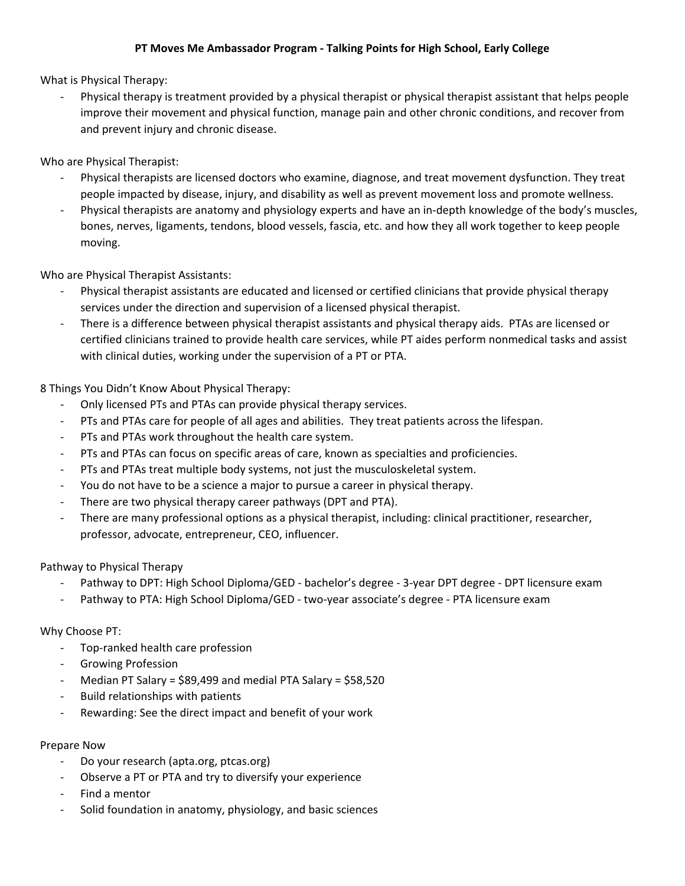## **PT Moves Me Ambassador Program - Talking Points for High School, Early College**

What is Physical Therapy:

- Physical therapy is treatment provided by a physical therapist or physical therapist assistant that helps people improve their movement and physical function, manage pain and other chronic conditions, and recover from and prevent injury and chronic disease.

Who are Physical Therapist:

- Physical therapists are licensed doctors who examine, diagnose, and treat movement dysfunction. They treat people impacted by disease, injury, and disability as well as prevent movement loss and promote wellness.
- Physical therapists are anatomy and physiology experts and have an in-depth knowledge of the body's muscles, bones, nerves, ligaments, tendons, blood vessels, fascia, etc. and how they all work together to keep people moving.

Who are Physical Therapist Assistants:

- Physical therapist assistants are educated and licensed or certified clinicians that provide physical therapy services under the direction and supervision of a licensed physical therapist.
- There is a difference between physical therapist assistants and physical therapy aids. PTAs are licensed or certified clinicians trained to provide health care services, while PT aides perform nonmedical tasks and assist with clinical duties, working under the supervision of a PT or PTA.

8 Things You Didn't Know About Physical Therapy:

- Only licensed PTs and PTAs can provide physical therapy services.
- PTs and PTAs care for people of all ages and abilities. They treat patients across the lifespan.
- PTs and PTAs work throughout the health care system.
- PTs and PTAs can focus on specific areas of care, known as specialties and proficiencies.
- PTs and PTAs treat multiple body systems, not just the musculoskeletal system.
- You do not have to be a science a major to pursue a career in physical therapy.
- There are two physical therapy career pathways (DPT and PTA).
- There are many professional options as a physical therapist, including: clinical practitioner, researcher, professor, advocate, entrepreneur, CEO, influencer.

Pathway to Physical Therapy

- Pathway to DPT: High School Diploma/GED bachelor's degree 3-year DPT degree DPT licensure exam
- Pathway to PTA: High School Diploma/GED two-year associate's degree PTA licensure exam

## Why Choose PT:

- Top-ranked health care profession
- Growing Profession
- Median PT Salary = \$89,499 and medial PTA Salary = \$58,520
- Build relationships with patients
- Rewarding: See the direct impact and benefit of your work

Prepare Now

- Do your research (apta.org, ptcas.org)
- Observe a PT or PTA and try to diversify your experience
- Find a mentor
- Solid foundation in anatomy, physiology, and basic sciences